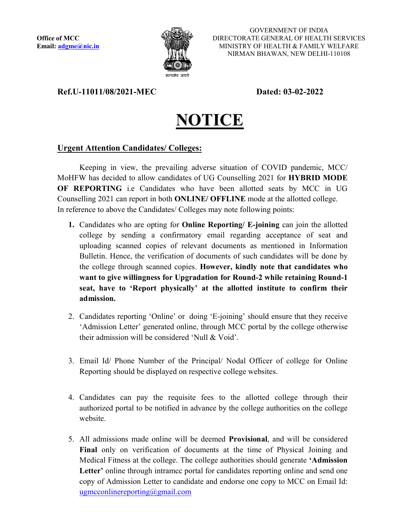

GOVERNMENT OF INDIA DIRECTORATE GENERAL OF HEALTH SERVICES MINISTRY OF HEALTH & FAMILY WELFARE NIRMAN BHAWAN, NEW DELHI-110108

## Ref.U-11011/08/2021-MEC Dated: 03-02-2022



## Urgent Attention Candidates/ Colleges:

Keeping in view, the prevailing adverse situation of COVID pandemic, MCC/ MoHFW has decided to allow candidates of UG Counselling 2021 for HYBRID MODE OF REPORTING i.e Candidates who have been allotted seats by MCC in UG Counselling 2021 can report in both ONLINE/ OFFLINE mode at the allotted college. In reference to above the Candidates/ Colleges may note following points:

- 1. Candidates who are opting for **Online Reporting/ E-joining** can join the allotted college by sending a confirmatory email regarding acceptance of seat and uploading scanned copies of relevant documents as mentioned in Information Bulletin. Hence, the verification of documents of such candidates will be done by the college through scanned copies. However, kindly note that candidates who want to give willingness for Upgradation for Round-2 while retaining Round-1 seat, have to 'Report physically' at the allotted institute to confirm their admission.
- 2. Candidates reporting 'Online' or doing 'E-joining' should ensure that they receive 'Admission Letter' generated online, through MCC portal by the college otherwise their admission will be considered 'Null & Void'.
- 3. Email Id/ Phone Number of the Principal/ Nodal Officer of college for Online Reporting should be displayed on respective college websites.
- 4. Candidates can pay the requisite fees to the allotted college through their authorized portal to be notified in advance by the college authorities on the college website.
- 5. All admissions made online will be deemed Provisional, and will be considered Final only on verification of documents at the time of Physical Joining and Medical Fitness at the college. The college authorities should generate 'Admission Letter' online through intramcc portal for candidates reporting online and send one copy of Admission Letter to candidate and endorse one copy to MCC on Email Id: ugmcconlinereporting@gmail.com